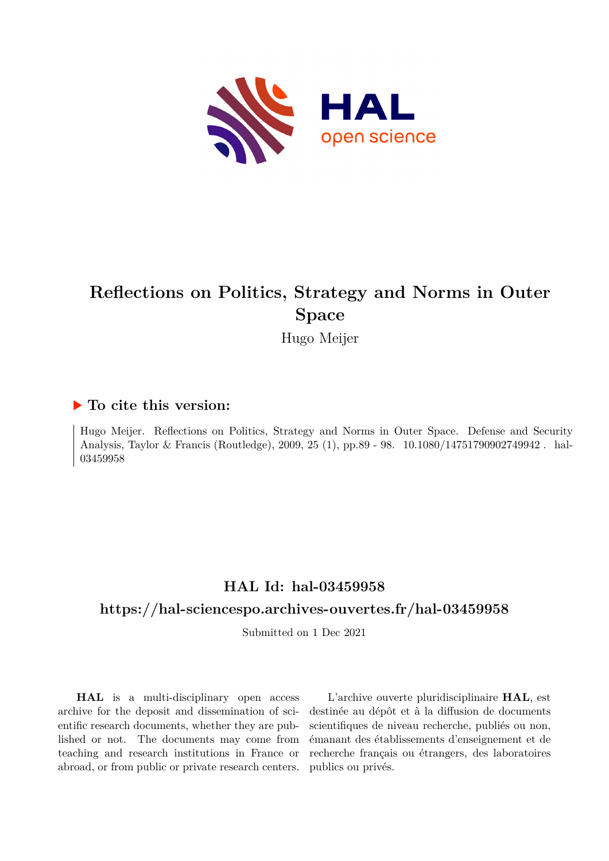

# **Reflections on Politics, Strategy and Norms in Outer Space**

Hugo Meijer

## **To cite this version:**

Hugo Meijer. Reflections on Politics, Strategy and Norms in Outer Space. Defense and Security Analysis, Taylor & Francis (Routledge), 2009, 25 (1), pp.89 - 98.  $10.1080/14751790902749942$ . hal-03459958

# **HAL Id: hal-03459958**

# **<https://hal-sciencespo.archives-ouvertes.fr/hal-03459958>**

Submitted on 1 Dec 2021

**HAL** is a multi-disciplinary open access archive for the deposit and dissemination of scientific research documents, whether they are published or not. The documents may come from teaching and research institutions in France or abroad, or from public or private research centers.

L'archive ouverte pluridisciplinaire **HAL**, est destinée au dépôt et à la diffusion de documents scientifiques de niveau recherche, publiés ou non, émanant des établissements d'enseignement et de recherche français ou étrangers, des laboratoires publics ou privés.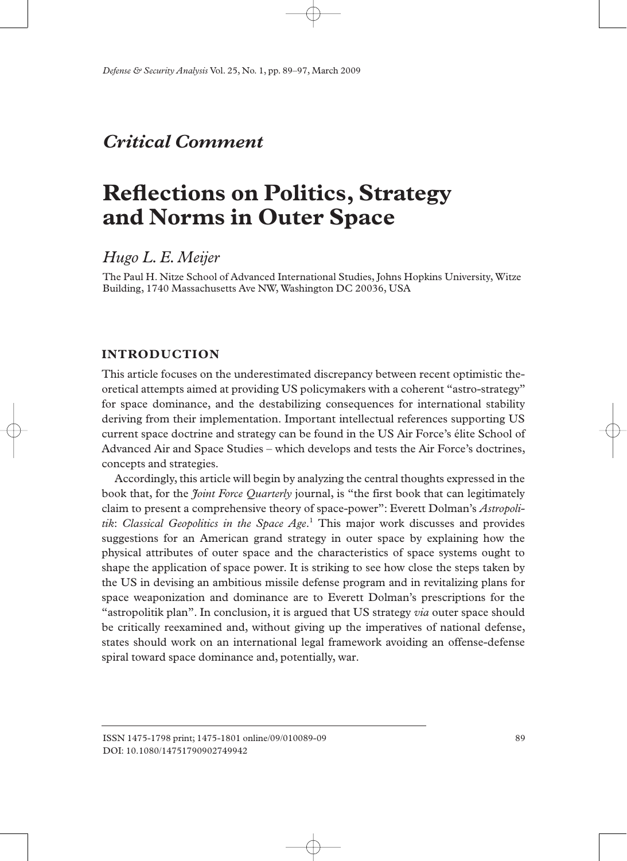*Defense & Security Analysis* Vol. 25, No. 1, pp. 89–97, March 2009

## *Critical Comment*

# **Reflections on Politics, Strategy and Norms in Outer Space**

## *Hugo L.E.Meijer*

The Paul H. Nitze School of Advanced International Studies, Johns Hopkins University, Witze Building, 1740 Massachusetts Ave NW, Washington DC 20036, USA

## **INTRODUCTION**

This article focuses on the underestimated discrepancy between recent optimistic theoretical attempts aimed at providing US policymakers with a coherent "astro-strategy" for space dominance, and the destabilizing consequences for international stability deriving from their implementation. Important intellectual references supporting US current space doctrine and strategy can be found in the US Air Force's élite School of Advanced Air and Space Studies – which develops and tests the Air Force's doctrines, concepts and strategies.

Accordingly, this article will begin by analyzing the central thoughts expressed in the book that, for the *Joint Force Quarterly* journal, is "the first book that can legitimately claim to present a comprehensive theory of space-power": Everett Dolman's *Astropolitik*: *Classical Geopolitics in the Space Age*. <sup>1</sup> This major work discusses and provides suggestions for an American grand strategy in outer space by explaining how the physical attributes of outer space and the characteristics of space systems ought to shape the application of space power. It is striking to see how close the steps taken by the US in devising an ambitious missile defense program and in revitalizing plans for space weaponization and dominance are to Everett Dolman's prescriptions for the "astropolitik plan". In conclusion, it is argued that US strategy *via* outer space should be critically reexamined and, without giving up the imperatives of national defense, states should work on an international legal framework avoiding an offense-defense spiral toward space dominance and, potentially, war.

ISSN 1475-1798 print; 1475-1801 online/09/010089-09 89 DOI: 10.1080/14751790902749942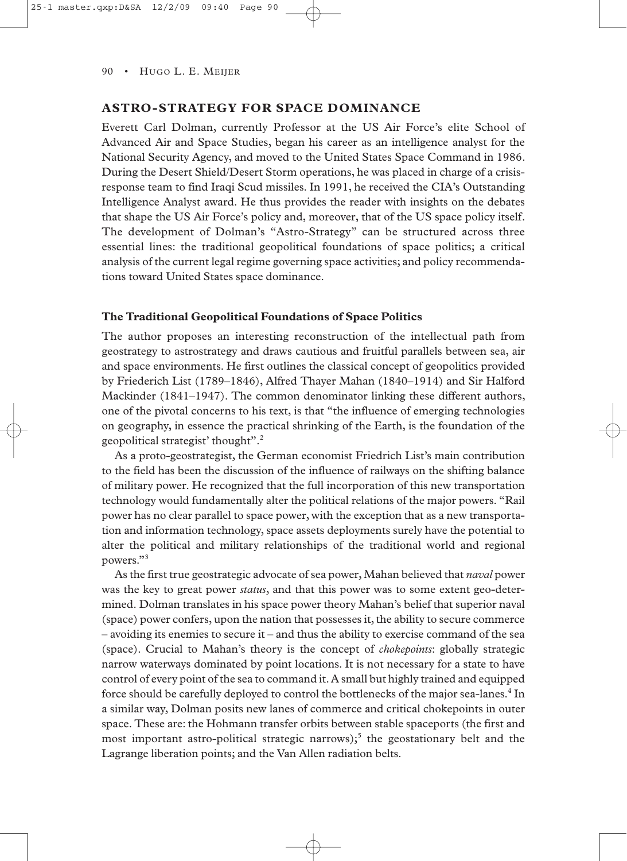## **ASTRO-STRATEGY FOR SPACE DOMINANCE**

Everett Carl Dolman, currently Professor at the US Air Force's elite School of Advanced Air and Space Studies, began his career as an intelligence analyst for the National Security Agency, and moved to the United States Space Command in 1986. During the Desert Shield/Desert Storm operations, he was placed in charge of a crisisresponse team to find Iraqi Scud missiles. In 1991, he received the CIA's Outstanding Intelligence Analyst award. He thus provides the reader with insights on the debates that shape the US Air Force's policy and, moreover, that of the US space policy itself. The development of Dolman's "Astro-Strategy" can be structured across three essential lines: the traditional geopolitical foundations of space politics; a critical analysis of the current legal regime governing space activities; and policy recommendations toward United States space dominance.

#### **The Traditional Geopolitical Foundations of Space Politics**

The author proposes an interesting reconstruction of the intellectual path from geostrategy to astrostrategy and draws cautious and fruitful parallels between sea, air and space environments. He first outlines the classical concept of geopolitics provided by Friederich List (1789–1846), Alfred Thayer Mahan (1840–1914) and Sir Halford Mackinder (1841–1947). The common denominator linking these different authors, one of the pivotal concerns to his text, is that "the influence of emerging technologies on geography, in essence the practical shrinking of the Earth, is the foundation of the geopolitical strategist' thought". 2

As a proto-geostrategist, the German economist Friedrich List's main contribution to the field has been the discussion of the influence of railways on the shifting balance of military power. He recognized that the full incorporation of this new transportation technology would fundamentally alter the political relations of the major powers. "Rail power has no clear parallel to space power, with the exception that as a new transportation and information technology, space assets deployments surely have the potential to alter the political and military relationships of the traditional world and regional powers."3

Asthe first true geostrategic advocate ofsea power,Mahan believed that *naval* power was the key to great power *status*, and that this power was to some extent geo-determined. Dolman translates in his space power theory Mahan's belief that superior naval (space) power confers, upon the nation that possesses it, the ability to secure commerce  $-$  avoiding its enemies to secure it  $-$  and thus the ability to exercise command of the sea (space). Crucial to Mahan's theory is the concept of *chokepoints*: globally strategic narrow waterways dominated by point locations. It is not necessary for a state to have control of every point of the sea to command it.A small but highly trained and equipped force should be carefully deployed to control the bottlenecks of the major sea-lanes. <sup>4</sup> In a similar way, Dolman posits new lanes of commerce and critical chokepoints in outer space. These are: the Hohmann transfer orbits between stable spaceports (the first and most important astro-political strategic narrows); <sup>5</sup> the geostationary belt and the Lagrange liberation points; and the Van Allen radiation belts.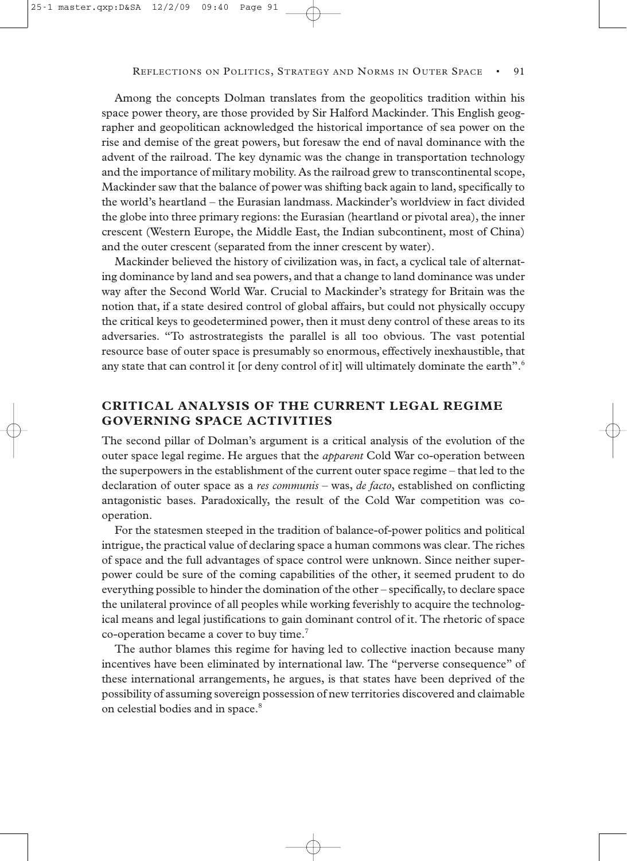#### REFLECTIONS ON POLITICS, STRATEGY AND NORMS IN OUTER SPACE . 91

Among the concepts Dolman translates from the geopolitics tradition within his space power theory, are those provided by Sir Halford Mackinder. This English geographer and geopolitican acknowledged the historical importance of sea power on the rise and demise of the great powers, but foresaw the end of naval dominance with the advent of the railroad. The key dynamic was the change in transportation technology and the importance of military mobility. As the railroad grew to transcontinental scope, Mackinder saw that the balance of power was shifting back again to land, specifically to the world's heartland – the Eurasian landmass. Mackinder's worldview in fact divided the globe into three primary regions: the Eurasian (heartland or pivotal area), the inner crescent (Western Europe, the Middle East, the Indian subcontinent, most of China) and the outer crescent (separated from the inner crescent by water).

Mackinder believed the history of civilization was, in fact, a cyclical tale of alternating dominance by land and sea powers, and that a change to land dominance was under way after the Second World War. Crucial to Mackinder's strategy for Britain was the notion that, if a state desired control of global affairs, but could not physically occupy the critical keys to geodetermined power, then it must deny control of these areas to its adversaries. "To astrostrategists the parallel is all too obvious. The vast potential resource base of outer space is presumably so enormous, effectively inexhaustible, that any state that can control it [or deny control of it] will ultimately dominate the earth".<sup>6</sup>

## **CRITICAL ANALYSIS OF THE CURRENT LEGAL REGIME GOVERNING SPACE ACTIVITIES**

The second pillar of Dolman's argument is a critical analysis of the evolution of the outer space legal regime. He argues that the *apparent* Cold War co-operation between the superpowers in the establishment of the current outer space regime – that led to the declaration of outer space as a *res communis* – was, *de facto*, established on conflicting antagonistic bases. Paradoxically, the result of the Cold War competition was cooperation.

For the statesmen steeped in the tradition of balance-of-power politics and political intrigue, the practical value of declaring space a human commons was clear. The riches of space and the full advantages of space control were unknown. Since neither superpower could be sure of the coming capabilities of the other, it seemed prudent to do everything possible to hinder the domination of the other – specifically, to declare space the unilateral province of all peoples while working feverishly to acquire the technological means and legal justifications to gain dominant control of it. The rhetoric of space co-operation became a cover to buy time. 7

The author blames this regime for having led to collective inaction because many incentives have been eliminated by international law. The "perverse consequence" of these international arrangements, he argues, is that states have been deprived of the possibility of assuming sovereign possession of new territories discovered and claimable on celestial bodies and in space. 8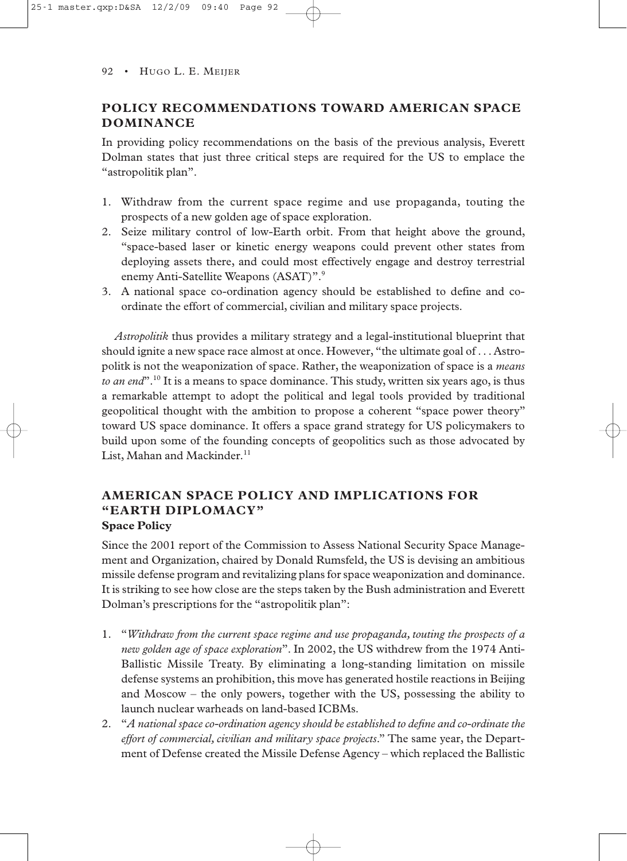## **POLICY RECOMMENDATIONS TOWARD AMERICAN SPACE DOMINANCE**

In providing policy recommendations on the basis of the previous analysis, Everett Dolman states that just three critical steps are required for the US to emplace the "astropolitik plan".

- 1. Withdraw from the current space regime and use propaganda, touting the prospects of a new golden age of space exploration.
- 2. Seize military control of low-Earth orbit. From that height above the ground, "space-based laser or kinetic energy weapons could prevent other states from deploying assets there, and could most effectively engage and destroy terrestrial enemy Anti-Satellite Weapons (ASAT)". 9
- 3. A national space co-ordination agency should be established to define and coordinate the effort of commercial, civilian and military space projects.

*Astropolitik* thus provides a military strategy and a legal-institutional blueprint that should ignite a new space race almost at once. However, "the ultimate goal of . . . Astropolitk is not the weaponization of space. Rather, the weaponization of space is a *means to an end*". <sup>10</sup> It is a means to space dominance. This study, written six years ago, is thus a remarkable attempt to adopt the political and legal tools provided by traditional geopolitical thought with the ambition to propose a coherent "space power theory" toward US space dominance. It offers a space grand strategy for US policymakers to build upon some of the founding concepts of geopolitics such as those advocated by List, Mahan and Mackinder.<sup>11</sup>

## **AMERICAN SPACE POLICY AND IMPLICATIONS FOR "EARTH DIPLOMACY" Space Policy**

Since the 2001 report of the Commission to Assess National Security Space Management and Organization, chaired by Donald Rumsfeld, the US is devising an ambitious missile defense program and revitalizing plansforspace weaponization and dominance. It is striking to see how close are the steps taken by the Bush administration and Everett Dolman's prescriptions for the "astropolitik plan":

- 1. "*Withdraw from the current space regime and use propaganda, touting the prospects of a new golden age of space exploration*". In 2002, the US withdrew from the 1974 Anti-Ballistic Missile Treaty. By eliminating a long-standing limitation on missile defense systems an prohibition, this move has generated hostile reactions in Beijing and Moscow – the only powers, together with the US, possessing the ability to launch nuclear warheads on land-based ICBMs.
- 2. "*A national space co-ordination agency should be established to define and co-ordinate the effort of commercial,civilian and military space projects*." The same year, the Department of Defense created the Missile Defense Agency – which replaced the Ballistic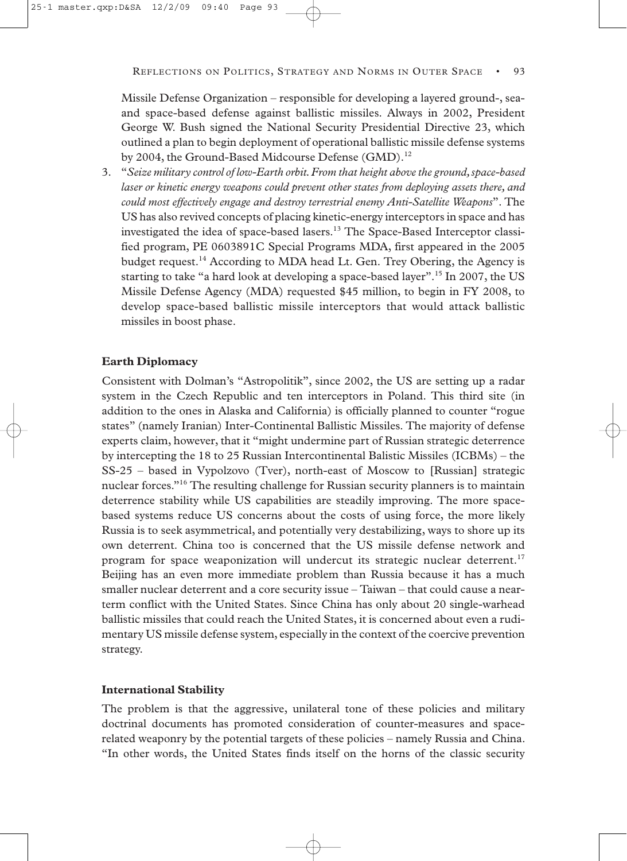REFLECTIONS ON POLITICS, STRATEGY AND NORMS IN OUTER SPACE • 93

Missile Defense Organization – responsible for developing a layered ground-, seaand space-based defense against ballistic missiles. Always in 2002, President George W. Bush signed the National Security Presidential Directive 23, which outlined a plan to begin deployment of operational ballistic missile defense systems by 2004, the Ground-Based Midcourse Defense (GMD).<sup>12</sup>

3. "*Seize military control of low-Earth orbit.From that height above the ground,space-based laser or kinetic energy weapons could prevent other states from deploying assets there, and could most effectively engage and destroy terrestrial enemy Anti-Satellite Weapons*". The US has also revived concepts of placing kinetic-energy interceptorsin space and has investigated the idea of space-based lasers. <sup>13</sup> The Space-Based Interceptor classified program, PE 0603891C Special Programs MDA, first appeared in the 2005 budget request.<sup>14</sup> According to MDA head Lt. Gen. Trey Obering, the Agency is starting to take "a hard look at developing a space-based layer".<sup>15</sup> In 2007, the US Missile Defense Agency (MDA) requested \$45 million, to begin in FY 2008, to develop space-based ballistic missile interceptors that would attack ballistic missiles in boost phase.

### **Earth Diplomacy**

Consistent with Dolman's "Astropolitik", since 2002, the US are setting up a radar system in the Czech Republic and ten interceptors in Poland. This third site (in addition to the ones in Alaska and California) is officially planned to counter "rogue states" (namely Iranian) Inter-Continental Ballistic Missiles. The majority of defense experts claim, however, that it "might undermine part of Russian strategic deterrence by intercepting the 18 to 25 Russian Intercontinental Balistic Missiles (ICBMs) – the SS-25 – based in Vypolzovo (Tver), north-east of Moscow to [Russian] strategic nuclear forces."<sup>16</sup> The resulting challenge for Russian security planners is to maintain deterrence stability while US capabilities are steadily improving. The more spacebased systems reduce US concerns about the costs of using force, the more likely Russia is to seek asymmetrical, and potentially very destabilizing, ways to shore up its own deterrent. China too is concerned that the US missile defense network and program for space weaponization will undercut its strategic nuclear deterrent.<sup>17</sup> Beijing has an even more immediate problem than Russia because it has a much smaller nuclear deterrent and a core security issue – Taiwan – that could cause a nearterm conflict with the United States. Since China has only about 20 single-warhead ballistic missiles that could reach the United States, it is concerned about even a rudimentary US missile defense system, especially in the context of the coercive prevention strategy.

### **International Stability**

The problem is that the aggressive, unilateral tone of these policies and military doctrinal documents has promoted consideration of counter-measures and spacerelated weaponry by the potential targets of these policies – namely Russia and China. "In other words, the United States finds itself on the horns of the classic security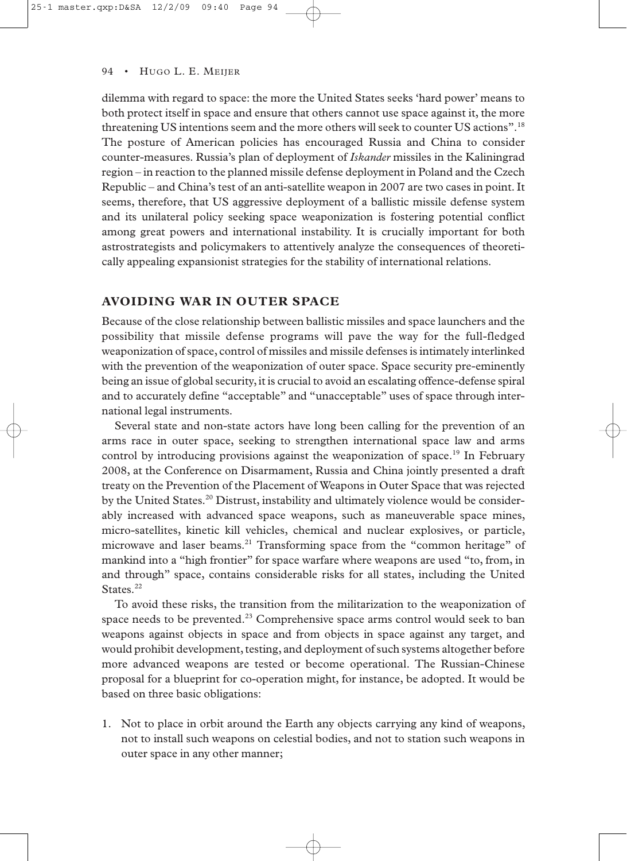dilemma with regard to space: the more the United States seeks 'hard power' means to both protect itself in space and ensure that others cannot use space against it, the more threatening US intentions seem and the more others will seek to counter US actions".<sup>18</sup> The posture of American policies has encouraged Russia and China to consider counter-measures. Russia's plan of deployment of *Iskander* missiles in the Kaliningrad region – in reaction to the planned missile defense deployment in Poland and the Czech Republic – and China's test of an anti-satellite weapon in 2007 are two cases in point.It seems, therefore, that US aggressive deployment of a ballistic missile defense system and its unilateral policy seeking space weaponization is fostering potential conflict among great powers and international instability. It is crucially important for both astrostrategists and policymakers to attentively analyze the consequences of theoretically appealing expansionist strategies for the stability of international relations.

### **AVOIDING WAR IN OUTER SPACE**

Because of the close relationship between ballistic missiles and space launchers and the possibility that missile defense programs will pave the way for the full-fledged weaponization ofspace, control of missiles and missile defensesisintimately interlinked with the prevention of the weaponization of outer space. Space security pre-eminently being an issue of global security, it is crucial to avoid an escalating offence-defense spiral and to accurately define "acceptable" and "unacceptable" uses of space through international legal instruments.

Several state and non-state actors have long been calling for the prevention of an arms race in outer space, seeking to strengthen international space law and arms control by introducing provisions against the weaponization of space.<sup>19</sup> In February 2008, at the Conference on Disarmament, Russia and China jointly presented a draft treaty on the Prevention of the Placement of Weapons in Outer Space that was rejected by the United States. <sup>20</sup> Distrust, instability and ultimately violence would be considerably increased with advanced space weapons, such as maneuverable space mines, micro-satellites, kinetic kill vehicles, chemical and nuclear explosives, or particle, microwave and laser beams.<sup>21</sup> Transforming space from the "common heritage" of mankind into a "high frontier" for space warfare where weapons are used "to, from, in and through" space, contains considerable risks for all states, including the United States.<sup>22</sup>

To avoid these risks, the transition from the militarization to the weaponization of space needs to be prevented.<sup>23</sup> Comprehensive space arms control would seek to ban weapons against objects in space and from objects in space against any target, and would prohibit development, testing, and deployment of such systems altogether before more advanced weapons are tested or become operational. The Russian-Chinese proposal for a blueprint for co-operation might, for instance, be adopted. It would be based on three basic obligations:

1. Not to place in orbit around the Earth any objects carrying any kind of weapons, not to install such weapons on celestial bodies, and not to station such weapons in outer space in any other manner;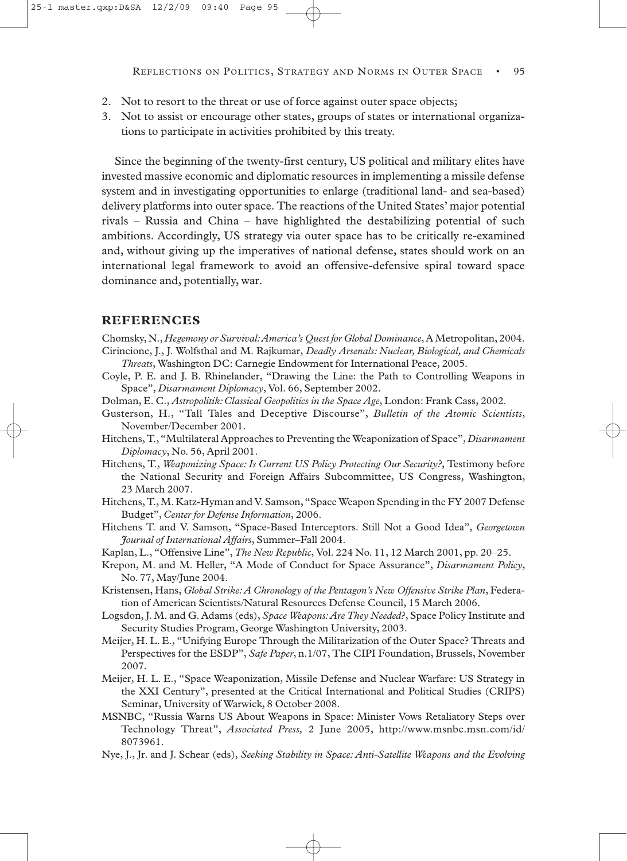REFLECTIONS ON POLITICS, STRATEGY AND NORMS IN OUTER SPACE • 95

- 2. Not to resort to the threat or use of force against outer space objects;
- 3. Not to assist or encourage other states, groups of states or international organizations to participate in activities prohibited by this treaty.

Since the beginning of the twenty-first century, US political and military elites have invested massive economic and diplomatic resources in implementing a missile defense system and in investigating opportunities to enlarge (traditional land- and sea-based) delivery platforms into outer space. The reactions of the United States' major potential rivals – Russia and China – have highlighted the destabilizing potential of such ambitions. Accordingly, US strategy via outer space has to be critically re-examined and, without giving up the imperatives of national defense, states should work on an international legal framework to avoid an offensive-defensive spiral toward space dominance and, potentially, war.

#### **REFERENCES**

Chomsky, N., *Hegemony or Survival:America's Quest for Global Dominance*, A Metropolitan, 2004. Cirincione, J., J. Wolfsthal and M. Rajkumar, *Deadly Arsenals: Nuclear, Biological, and Chemicals Threats*, Washington DC: Carnegie Endowment for International Peace, 2005.

- Coyle, P. E. and J. B. Rhinelander, "Drawing the Line: the Path to Controlling Weapons in Space", *Disarmament Diplomacy*, Vol. 66, September 2002.
- Dolman, E. C., *Astropolitik:Classical Geopolitics in the Space Age*, London: Frank Cass, 2002.
- Gusterson, H., "Tall Tales and Deceptive Discourse", *Bulletin of the Atomic Scientists*, November/December 2001.
- Hitchens,T., "Multilateral Approachesto Preventing the Weaponization of Space",*Disarmament Diplomacy*, No. 56, April 2001.
- Hitchens, T., *Weaponizing Space:Is Current US Policy Protecting Our Security?*, Testimony before the National Security and Foreign Affairs Subcommittee, US Congress, Washington, 23 March 2007.
- Hitchens,T.,M. Katz-Hyman and V.Samson, "Space Weapon Spending in the FY 2007 Defense Budget", *Center for Defense Information*, 2006.
- Hitchens T. and V. Samson, "Space-Based Interceptors. Still Not a Good Idea", *Georgetown Journal of International Affairs*, Summer–Fall 2004.
- Kaplan, L., "Offensive Line", *The New Republic*, Vol. 224 No. 11, 12 March 2001, pp. 20–25.
- Krepon, M. and M. Heller, "A Mode of Conduct for Space Assurance", *Disarmament Policy*, No. 77, May/June 2004.
- Kristensen, Hans, *Global Strike:A Chronology of the Pentagon's New Offensive Strike Plan*, Federation of American Scientists/Natural Resources Defense Council, 15 March 2006.
- Logsdon,J. M. and G. Adams (eds), *Space Weapons:Are They Needed?*, Space Policy Institute and Security Studies Program, George Washington University, 2003.
- Meijer, H. L. E., "Unifying Europe Through the Militarization of the Outer Space? Threats and Perspectives for the ESDP", *Safe Paper*, n.1/07, The CIPI Foundation, Brussels, November 2007.
- Meijer, H. L. E., "Space Weaponization, Missile Defense and Nuclear Warfare: US Strategy in the XXI Century", presented at the Critical International and Political Studies (CRIPS) Seminar, University of Warwick, 8 October 2008.
- MSNBC, "Russia Warns US About Weapons in Space: Minister Vows Retaliatory Steps over Technology Threat", *Associated Press,* 2 June 2005, http://www.msnbc.msn.com/id/ 8073961.
- Nye, J., Jr. and J. Schear (eds), *Seeking Stability in Space: Anti-Satellite Weapons and the Evolving*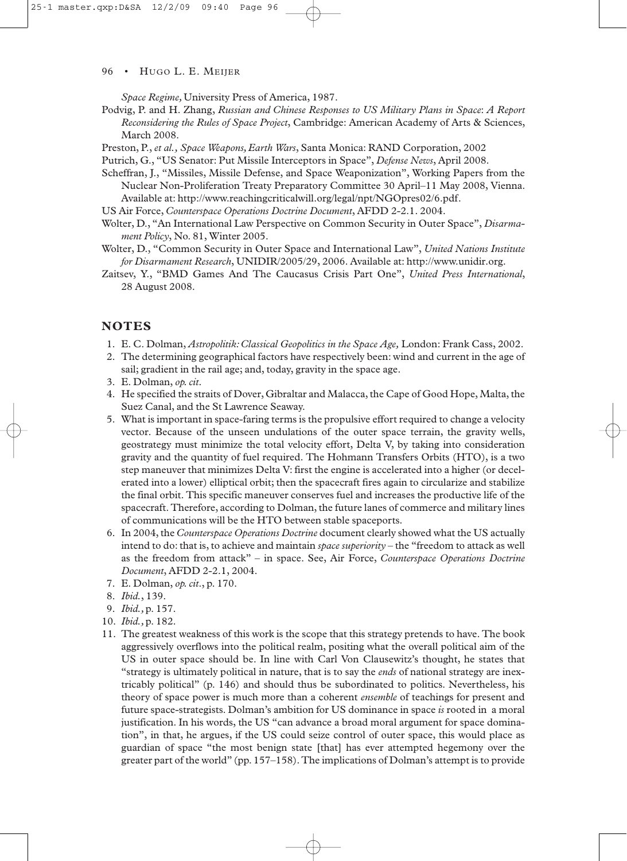*Space Regime,*University Press of America, 1987.

Podvig, P. and H. Zhang, *Russian and Chinese Responses to US Military Plans in Space*: *A Report Reconsidering the Rules of Space Project*, Cambridge: American Academy of Arts & Sciences, March 2008.

Preston, P., *et al., Space Weapons,Earth Wars*, Santa Monica: RAND Corporation, 2002

Putrich, G., "US Senator: Put Missile Interceptors in Space", *Defense News*, April 2008.

- Scheffran, J., "Missiles, Missile Defense, and Space Weaponization", Working Papers from the Nuclear Non-Proliferation Treaty Preparatory Committee 30 April–11 May 2008, Vienna. Available at: http://www.reachingcriticalwill.org/legal/npt/NGOpres02/6.pdf.
- US Air Force, *Counterspace Operations Doctrine Document*, AFDD 2-2.1. 2004.
- Wolter, D., "An International Law Perspective on Common Security in Outer Space", *Disarmament Policy*, No. 81, Winter 2005.
- Wolter, D., "Common Security in Outer Space and International Law", *United Nations Institute for Disarmament Research*, UNIDIR/2005/29, 2006. Available at: http://www.unidir.org.
- Zaitsev, Y., "BMD Games And The Caucasus Crisis Part One", *United Press International*, 28 August 2008.

## **NOTES**

- 1. E. C. Dolman, *Astropolitik:Classical Geopolitics in the Space Age,* London: Frank Cass, 2002.
- 2. The determining geographical factors have respectively been: wind and current in the age of sail; gradient in the rail age; and, today, gravity in the space age.
- 3. E. Dolman, *op.cit*.
- 4. He specified the straits of Dover, Gibraltar and Malacca, the Cape of Good Hope, Malta, the Suez Canal, and the St Lawrence Seaway.
- 5. What is important in space-faring terms is the propulsive effort required to change a velocity vector. Because of the unseen undulations of the outer space terrain, the gravity wells, geostrategy must minimize the total velocity effort, Delta V, by taking into consideration gravity and the quantity of fuel required. The Hohmann Transfers Orbits (HTO), is a two step maneuver that minimizes Delta V: first the engine is accelerated into a higher (or decelerated into a lower) elliptical orbit; then the spacecraft fires again to circularize and stabilize the final orbit. This specific maneuver conserves fuel and increases the productive life of the spacecraft. Therefore, according to Dolman, the future lanes of commerce and military lines of communications will be the HTO between stable spaceports.
- 6. In 2004, the *Counterspace Operations Doctrine* document clearly showed what the US actually intend to do: that is, to achieve and maintain *space superiority* – the "freedom to attack as well as the freedom from attack" – in space. See, Air Force, *Counterspace Operations Doctrine Document*, AFDD 2-2.1, 2004.
- 7. E. Dolman, *op.cit*., p. 170.
- 8. *Ibid.*, 139.
- 9. *Ibid.,*p. 157.
- 10. *Ibid.,*p. 182.
- 11. The greatest weakness of this work is the scope that this strategy pretends to have. The book aggressively overflows into the political realm, positing what the overall political aim of the US in outer space should be. In line with Carl Von Clausewitz's thought, he states that "strategy is ultimately political in nature, that is to say the *ends* of national strategy are inextricably political" (p. 146) and should thus be subordinated to politics. Nevertheless, his theory of space power is much more than a coherent *ensemble* of teachings for present and future space-strategists. Dolman's ambition for US dominance in space *is* rooted in a moral justification. In his words, the US "can advance a broad moral argument for space domination", in that, he argues, if the US could seize control of outer space, this would place as guardian of space "the most benign state [that] has ever attempted hegemony over the greater part of the world" (pp. 157–158). The implications of Dolman's attempt isto provide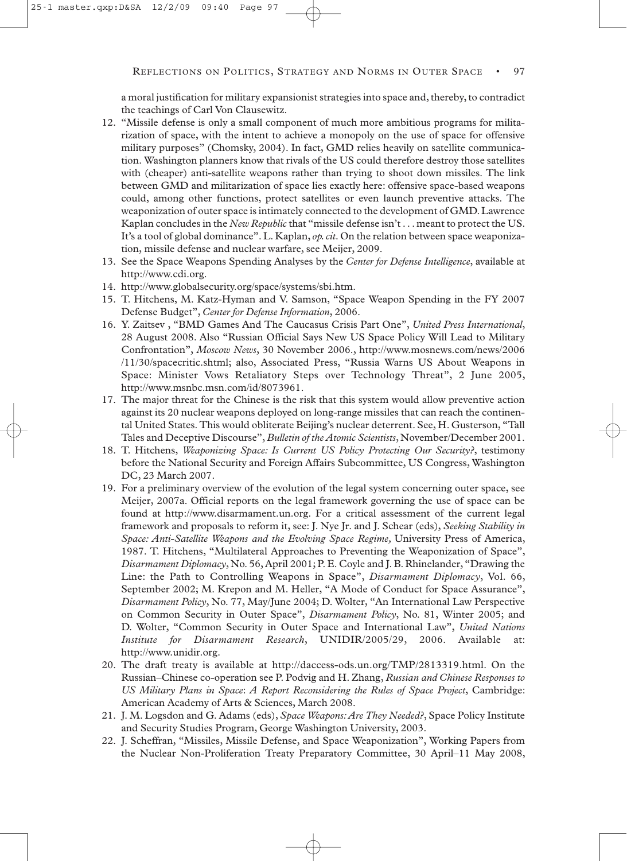#### REFLECTIONS ON POLITICS, STRATEGY AND NORMS IN OUTER SPACE . 97

a moral justification for military expansionist strategies into space and, thereby, to contradict the teachings of Carl Von Clausewitz.

- 12. "Missile defense is only a small component of much more ambitious programs for militarization of space, with the intent to achieve a monopoly on the use of space for offensive military purposes" (Chomsky, 2004). In fact, GMD relies heavily on satellite communication. Washington planners know that rivals of the US could therefore destroy those satellites with (cheaper) anti-satellite weapons rather than trying to shoot down missiles. The link between GMD and militarization of space lies exactly here: offensive space-based weapons could, among other functions, protect satellites or even launch preventive attacks. The weaponization of outer space is intimately connected to the development of GMD. Lawrence Kaplan concludes in the *New Republic* that "missile defense isn't . . . meant to protect the US. It's a tool of global dominance".L. Kaplan, *op.cit*. On the relation between space weaponization, missile defense and nuclear warfare, see Meijer, 2009.
- 13. See the Space Weapons Spending Analyses by the *Center for Defense Intelligence*, available at http://www.cdi.org.
- 14. http://www.globalsecurity.org/space/systems/sbi.htm.
- 15. T. Hitchens, M. Katz-Hyman and V. Samson, "Space Weapon Spending in the FY 2007 Defense Budget", *Center for Defense Information*, 2006.
- 16. Y. Zaitsev , "BMD Games And The Caucasus Crisis Part One", *United Press International*, 28 August 2008. Also "Russian Official Says New US Space Policy Will Lead to Military Confrontation", *Moscow News*, 30 November 2006., http://www.mosnews.com/news/2006 /11/30/spacecritic.shtml; also, Associated Press, "Russia Warns US About Weapons in Space: Minister Vows Retaliatory Steps over Technology Threat", 2 June 2005, http://www.msnbc.msn.com/id/8073961.
- 17. The major threat for the Chinese is the risk that this system would allow preventive action against its 20 nuclear weapons deployed on long-range missiles that can reach the continental United States. This would obliterate Beijing's nuclear deterrent. See, H. Gusterson, "Tall Tales and Deceptive Discourse",*Bulletin of the Atomic Scientists*, November/December 2001.
- 18. T. Hitchens, *Weaponizing Space: Is Current US Policy Protecting Our Security?*, testimony before the National Security and Foreign Affairs Subcommittee, US Congress, Washington DC, 23 March 2007.
- 19. For a preliminary overview of the evolution of the legal system concerning outer space, see Meijer, 2007a. Official reports on the legal framework governing the use of space can be found at http://www.disarmament.un.org. For a critical assessment of the current legal framework and proposals to reform it, see: J. Nye Jr. and J. Schear (eds), *Seeking Stability in Space: Anti-Satellite Weapons and the Evolving Space Regime,* University Press of America, 1987. T. Hitchens, "Multilateral Approaches to Preventing the Weaponization of Space", *Disarmament Diplomacy*, No. 56, April 2001;P.E. Coyle and J.B. Rhinelander, "Drawing the Line: the Path to Controlling Weapons in Space", *Disarmament Diplomacy*, Vol. 66, September 2002; M. Krepon and M. Heller, "A Mode of Conduct for Space Assurance", *Disarmament Policy*, No. 77, May/June 2004; D. Wolter, "An International Law Perspective on Common Security in Outer Space", *Disarmament Policy*, No. 81, Winter 2005; and D. Wolter, "Common Security in Outer Space and International Law", *United Nations Institute for Disarmament Research*, UNIDIR/2005/29, 2006. Available at: http://www.unidir.org.
- 20. The draft treaty is available at http://daccess-ods.un.org/TMP/2813319.html. On the Russian–Chinese co-operation see P. Podvig and H. Zhang, *Russian and Chinese Responses to US Military Plans in Space*: *A Report Reconsidering the Rules of Space Project*, Cambridge: American Academy of Arts & Sciences, March 2008.
- 21. J. M. Logsdon and G. Adams (eds), *Space Weapons:Are They Needed?*, Space Policy Institute and Security Studies Program, George Washington University, 2003.
- 22. J. Scheffran, "Missiles, Missile Defense, and Space Weaponization", Working Papers from the Nuclear Non-Proliferation Treaty Preparatory Committee, 30 April–11 May 2008,